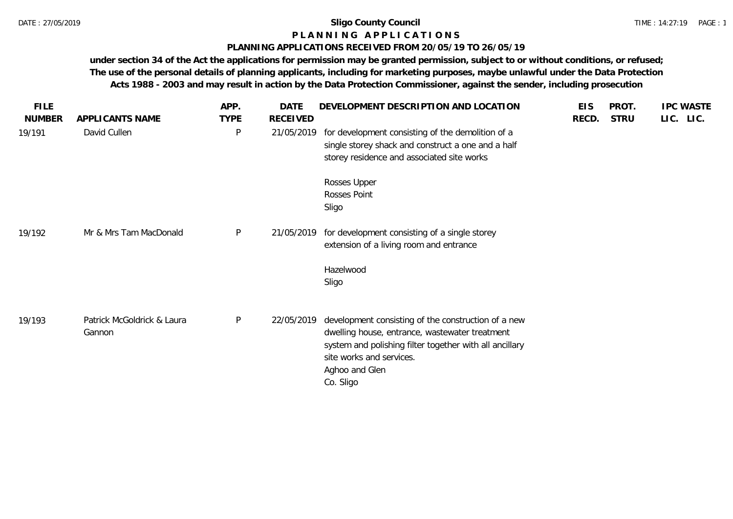## **P L A N N I N G A P P L I C A T I O N S**

## **PLANNING APPLICATIONS RECEIVED FROM 20/05/19 TO 26/05/19**

**under section 34 of the Act the applications for permission may be granted permission, subject to or without conditions, or refused; The use of the personal details of planning applicants, including for marketing purposes, maybe unlawful under the Data Protection Acts 1988 - 2003 and may result in action by the Data Protection Commissioner, against the sender, including prosecution**

|                                      | APP.         | <b>DATE</b> |                                                                                                                                                                                                                             | <b>EIS</b>                                                                     | PROT.       | <b>IPC WASTE</b> |
|--------------------------------------|--------------|-------------|-----------------------------------------------------------------------------------------------------------------------------------------------------------------------------------------------------------------------------|--------------------------------------------------------------------------------|-------------|------------------|
| APPLICANTS NAME                      | <b>TYPE</b>  | RECEIVED    |                                                                                                                                                                                                                             | RECD.                                                                          | <b>STRU</b> | LIC. LIC.        |
| David Cullen                         | $\mathsf{P}$ |             | for development consisting of the demolition of a<br>single storey shack and construct a one and a half<br>storey residence and associated site works                                                                       |                                                                                |             |                  |
|                                      |              |             | Rosses Upper<br>Rosses Point<br>Sligo                                                                                                                                                                                       |                                                                                |             |                  |
| Mr & Mrs Tam MacDonald               | $\mathsf{P}$ |             | for development consisting of a single storey<br>extension of a living room and entrance                                                                                                                                    |                                                                                |             |                  |
|                                      |              |             | Hazelwood<br>Sligo                                                                                                                                                                                                          |                                                                                |             |                  |
| Patrick McGoldrick & Laura<br>Gannon | $\mathsf{P}$ |             | development consisting of the construction of a new<br>dwelling house, entrance, wastewater treatment<br>system and polishing filter together with all ancillary<br>site works and services.<br>Aghoo and Glen<br>Co. Sligo |                                                                                |             |                  |
|                                      |              |             |                                                                                                                                                                                                                             | DEVELOPMENT DESCRIPTION AND LOCATION<br>21/05/2019<br>21/05/2019<br>22/05/2019 |             |                  |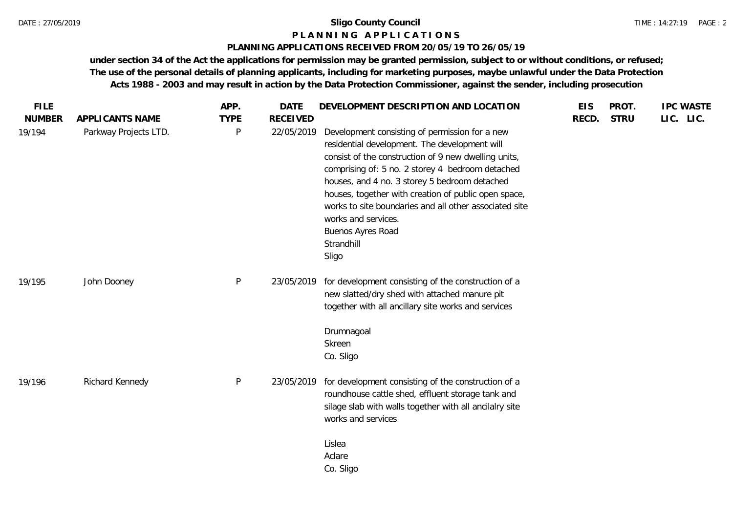### **P L A N N I N G A P P L I C A T I O N S**

### **PLANNING APPLICATIONS RECEIVED FROM 20/05/19 TO 26/05/19**

**under section 34 of the Act the applications for permission may be granted permission, subject to or without conditions, or refused; The use of the personal details of planning applicants, including for marketing purposes, maybe unlawful under the Data Protection Acts 1988 - 2003 and may result in action by the Data Protection Commissioner, against the sender, including prosecution**

| <b>FILE</b>             |                                          | APP.                        | <b>DATE</b>                   | DEVELOPMENT DESCRIPTION AND LOCATION                                                                                                                                                                                                                                                                                                                                                                                                              | <b>EIS</b> | PROT.       | <b>IPC WASTE</b> |
|-------------------------|------------------------------------------|-----------------------------|-------------------------------|---------------------------------------------------------------------------------------------------------------------------------------------------------------------------------------------------------------------------------------------------------------------------------------------------------------------------------------------------------------------------------------------------------------------------------------------------|------------|-------------|------------------|
| <b>NUMBER</b><br>19/194 | APPLICANTS NAME<br>Parkway Projects LTD. | <b>TYPE</b><br>$\mathsf{P}$ | <b>RECEIVED</b><br>22/05/2019 | Development consisting of permission for a new<br>residential development. The development will<br>consist of the construction of 9 new dwelling units,<br>comprising of: 5 no. 2 storey 4 bedroom detached<br>houses, and 4 no. 3 storey 5 bedroom detached<br>houses, together with creation of public open space,<br>works to site boundaries and all other associated site<br>works and services.<br>Buenos Ayres Road<br>Strandhill<br>Sligo | RECD.      | <b>STRU</b> | LIC. LIC.        |
| 19/195                  | John Dooney                              | P                           | 23/05/2019                    | for development consisting of the construction of a<br>new slatted/dry shed with attached manure pit<br>together with all ancillary site works and services                                                                                                                                                                                                                                                                                       |            |             |                  |
|                         |                                          |                             |                               | Drumnagoal<br>Skreen<br>Co. Sligo                                                                                                                                                                                                                                                                                                                                                                                                                 |            |             |                  |
| 19/196                  | Richard Kennedy                          | $\mathsf{P}$                | 23/05/2019                    | for development consisting of the construction of a<br>roundhouse cattle shed, effluent storage tank and<br>silage slab with walls together with all ancilalry site<br>works and services                                                                                                                                                                                                                                                         |            |             |                  |
|                         |                                          |                             |                               | Lislea<br>Aclare<br>Co. Sligo                                                                                                                                                                                                                                                                                                                                                                                                                     |            |             |                  |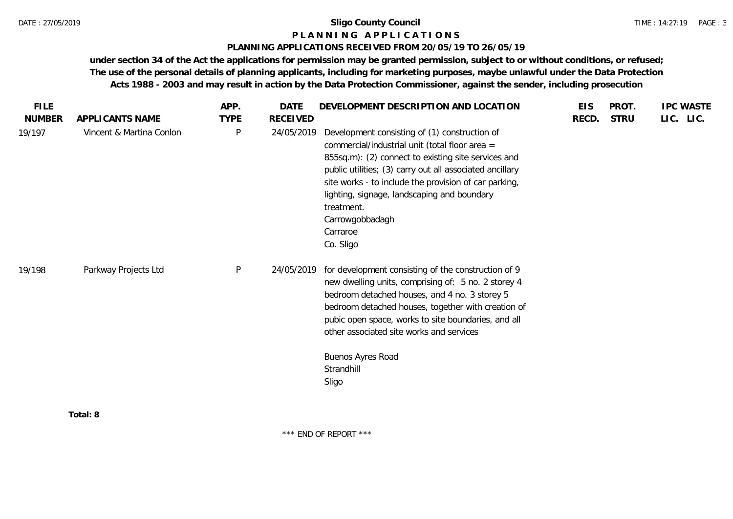### **P L A N N I N G A P P L I C A T I O N S**

### **PLANNING APPLICATIONS RECEIVED FROM 20/05/19 TO 26/05/19**

**under section 34 of the Act the applications for permission may be granted permission, subject to or without conditions, or refused; The use of the personal details of planning applicants, including for marketing purposes, maybe unlawful under the Data Protection Acts 1988 - 2003 and may result in action by the Data Protection Commissioner, against the sender, including prosecution**

**Total: 8**

\*\*\* END OF REPORT \*\*\*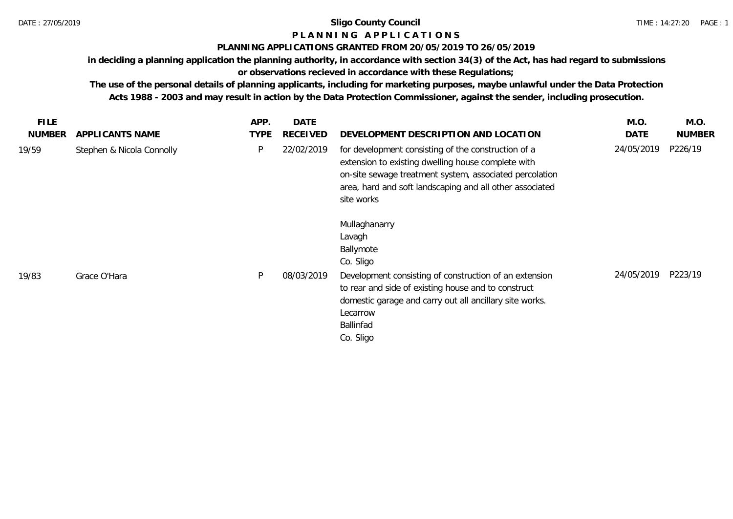### **P L A N N I N G A P P L I C A T I O N S**

### **PLANNING APPLICATIONS GRANTED FROM 20/05/2019 TO 26/05/2019**

**in deciding a planning application the planning authority, in accordance with section 34(3) of the Act, has had regard to submissions** 

## **or observations recieved in accordance with these Regulations;**

**The use of the personal details of planning applicants, including for marketing purposes, maybe unlawful under the Data Protection Acts 1988 - 2003 and may result in action by the Data Protection Commissioner, against the sender, including prosecution.**

| <b>FILE</b>            |                                              | APP.<br><b>TYPE</b> | <b>DATE</b><br><b>RECEIVED</b> |                                                                                                                                                                                                                                                                                        | M.O.<br><b>DATE</b> | M.O.<br><b>NUMBER</b> |
|------------------------|----------------------------------------------|---------------------|--------------------------------|----------------------------------------------------------------------------------------------------------------------------------------------------------------------------------------------------------------------------------------------------------------------------------------|---------------------|-----------------------|
| <b>NUMBER</b><br>19/59 | APPLICANTS NAME<br>Stephen & Nicola Connolly | P                   | 22/02/2019                     | DEVELOPMENT DESCRIPTION AND LOCATION<br>for development consisting of the construction of a<br>extension to existing dwelling house complete with<br>on-site sewage treatment system, associated percolation<br>area, hard and soft landscaping and all other associated<br>site works | 24/05/2019          | P226/19               |
| 19/83                  | Grace O'Hara                                 | P                   | 08/03/2019                     | Mullaghanarry<br>Lavagh<br>Ballymote<br>Co. Sligo<br>Development consisting of construction of an extension<br>to rear and side of existing house and to construct<br>domestic garage and carry out all ancillary site works.<br>Lecarrow<br>Ballinfad<br>Co. Sligo                    | 24/05/2019          | P223/19               |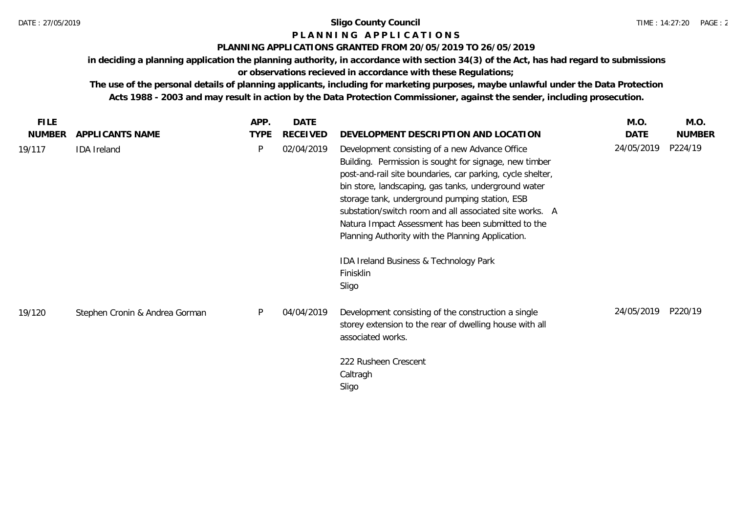# **P L A N N I N G A P P L I C A T I O N S**

## **PLANNING APPLICATIONS GRANTED FROM 20/05/2019 TO 26/05/2019**

**in deciding a planning application the planning authority, in accordance with section 34(3) of the Act, has had regard to submissions** 

**or observations recieved in accordance with these Regulations;**

**The use of the personal details of planning applicants, including for marketing purposes, maybe unlawful under the Data Protection Acts 1988 - 2003 and may result in action by the Data Protection Commissioner, against the sender, including prosecution.**

| FILE.         |                                | APP.        | <b>DATE</b> |                                                                                                                                                                                                                                                                                                                                                                                                                                                                                                                        | M.O.       | M.O.          |
|---------------|--------------------------------|-------------|-------------|------------------------------------------------------------------------------------------------------------------------------------------------------------------------------------------------------------------------------------------------------------------------------------------------------------------------------------------------------------------------------------------------------------------------------------------------------------------------------------------------------------------------|------------|---------------|
| <b>NUMBER</b> | APPLICANTS NAME                | <b>TYPE</b> | RECEIVED    | DEVELOPMENT DESCRIPTION AND LOCATION                                                                                                                                                                                                                                                                                                                                                                                                                                                                                   | DATE       | <b>NUMBER</b> |
| 19/117        | <b>IDA</b> Ireland             | P           | 02/04/2019  | Development consisting of a new Advance Office<br>Building. Permission is sought for signage, new timber<br>post-and-rail site boundaries, car parking, cycle shelter,<br>bin store, landscaping, gas tanks, underground water<br>storage tank, underground pumping station, ESB<br>substation/switch room and all associated site works. A<br>Natura Impact Assessment has been submitted to the<br>Planning Authority with the Planning Application.<br>IDA Ireland Business & Technology Park<br>Finisklin<br>Sligo | 24/05/2019 | P224/19       |
| 19/120        | Stephen Cronin & Andrea Gorman | P           | 04/04/2019  | Development consisting of the construction a single<br>storey extension to the rear of dwelling house with all<br>associated works.                                                                                                                                                                                                                                                                                                                                                                                    | 24/05/2019 | P220/19       |
|               |                                |             |             | 222 Rusheen Crescent<br>Caltragh<br>Sligo                                                                                                                                                                                                                                                                                                                                                                                                                                                                              |            |               |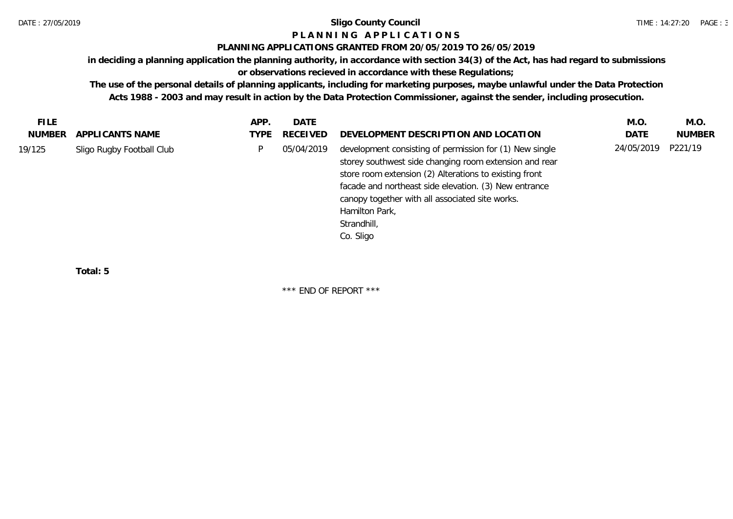## **P L A N N I N G A P P L I C A T I O N S**

### **PLANNING APPLICATIONS GRANTED FROM 20/05/2019 TO 26/05/2019**

**in deciding a planning application the planning authority, in accordance with section 34(3) of the Act, has had regard to submissions** 

## **or observations recieved in accordance with these Regulations;**

**The use of the personal details of planning applicants, including for marketing purposes, maybe unlawful under the Data Protection Acts 1988 - 2003 and may result in action by the Data Protection Commissioner, against the sender, including prosecution.**

| <b>FILE</b> |                           | APP. | DATE            |                                                                                                                                                                                                                                                                                                                                       | M.O.       | M.O.          |
|-------------|---------------------------|------|-----------------|---------------------------------------------------------------------------------------------------------------------------------------------------------------------------------------------------------------------------------------------------------------------------------------------------------------------------------------|------------|---------------|
| NUMBER      | APPLICANTS NAME           | TYPE | <b>RECEIVED</b> | DEVELOPMENT DESCRIPTION AND LOCATION                                                                                                                                                                                                                                                                                                  | DATE       | <b>NUMBER</b> |
| 19/125      | Sligo Rugby Football Club |      | 05/04/2019      | development consisting of permission for (1) New single<br>storey southwest side changing room extension and rear<br>store room extension (2) Alterations to existing front<br>facade and northeast side elevation. (3) New entrance<br>canopy together with all associated site works.<br>Hamilton Park,<br>Strandhill,<br>Co. Sligo | 24/05/2019 | P221/19       |
|             |                           |      |                 |                                                                                                                                                                                                                                                                                                                                       |            |               |

**Total: 5**

\*\*\* END OF REPORT \*\*\*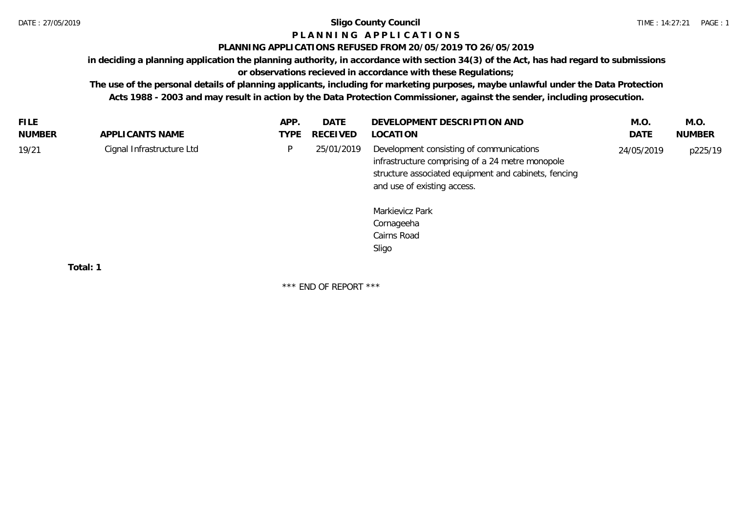# **P L A N N I N G A P P L I C A T I O N S**

### **PLANNING APPLICATIONS REFUSED FROM 20/05/2019 TO 26/05/2019**

**in deciding a planning application the planning authority, in accordance with section 34(3) of the Act, has had regard to submissions** 

## **or observations recieved in accordance with these Regulations;**

**The use of the personal details of planning applicants, including for marketing purposes, maybe unlawful under the Data Protection Acts 1988 - 2003 and may result in action by the Data Protection Commissioner, against the sender, including prosecution.**

| <b>FILE</b>   |                           | APP. | DATE            | DEVELOPMENT DESCRIPTION AND                                                                                                                                                                                                                  | M.O.       | M.O.          |
|---------------|---------------------------|------|-----------------|----------------------------------------------------------------------------------------------------------------------------------------------------------------------------------------------------------------------------------------------|------------|---------------|
| <b>NUMBER</b> | APPLICANTS NAME           | TYPE | <b>RECEIVED</b> | LOCATION                                                                                                                                                                                                                                     | DATE       | <b>NUMBER</b> |
| 19/21         | Cignal Infrastructure Ltd | P.   | 25/01/2019      | Development consisting of communications<br>infrastructure comprising of a 24 metre monopole<br>structure associated equipment and cabinets, fencing<br>and use of existing access.<br>Markievicz Park<br>Cornageeha<br>Cairns Road<br>Sligo | 24/05/2019 | p225/19       |
|               | Total: 1                  |      |                 |                                                                                                                                                                                                                                              |            |               |
|               |                           |      |                 |                                                                                                                                                                                                                                              |            |               |

\*\*\* END OF REPORT \*\*\*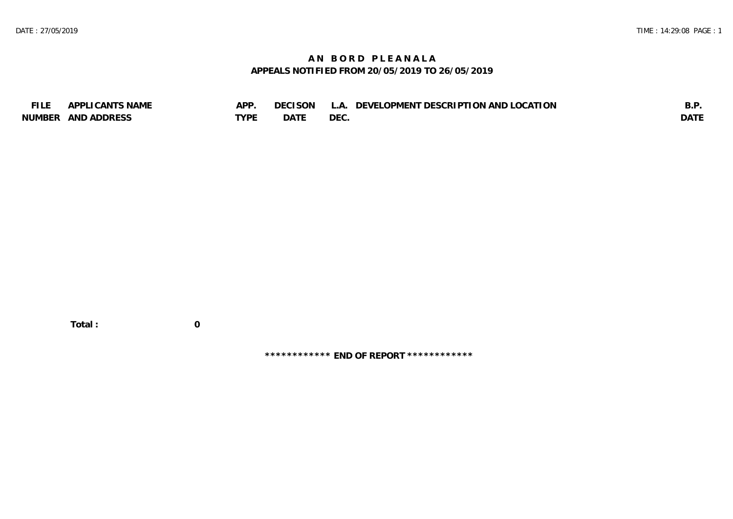## **A N B O R D P L E A N A L A APPEALS NOTIFIED FROM 20/05/2019 TO 26/05/2019**

| <b>FILE</b> | APPLICANTS NAME    | APP  | DECISON L   | L.A. DEVELOPMENT DESCRIPTION AND LOCATION | B.F         |
|-------------|--------------------|------|-------------|-------------------------------------------|-------------|
|             | NUMBER AND ADDRESS | TYPE | <b>DATE</b> | <b>DEC</b>                                | <b>DATE</b> |

 **Total : 0**

**\*\*\*\*\*\*\*\*\*\*\*\* END OF REPORT \*\*\*\*\*\*\*\*\*\*\*\***